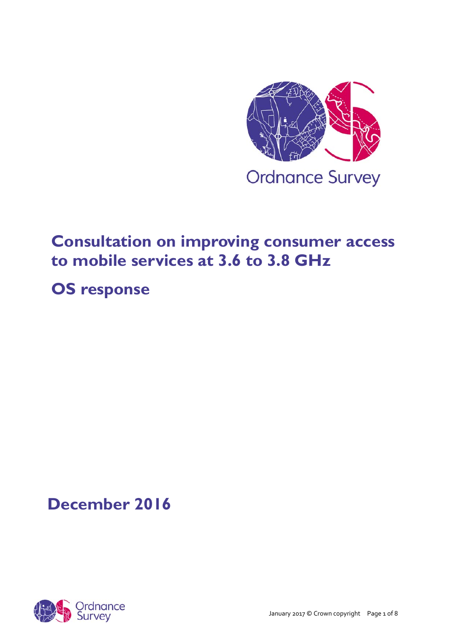

# **Consultation on improving consumer access to mobile services at 3.6 to 3.8 GHz**

# **OS response**

# **December 2016**

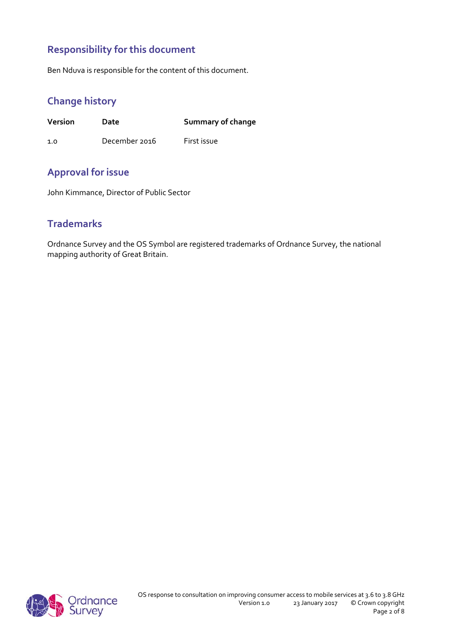## **Responsibility for this document**

Ben Nduva is responsible for the content of this document.

## **Change history**

**Version Date Summary of change**

1.0 December 2016 First issue

## **Approval for issue**

John Kimmance, Director of Public Sector

## **Trademarks**

Ordnance Survey and the OS Symbol are registered trademarks of Ordnance Survey, the national mapping authority of Great Britain.

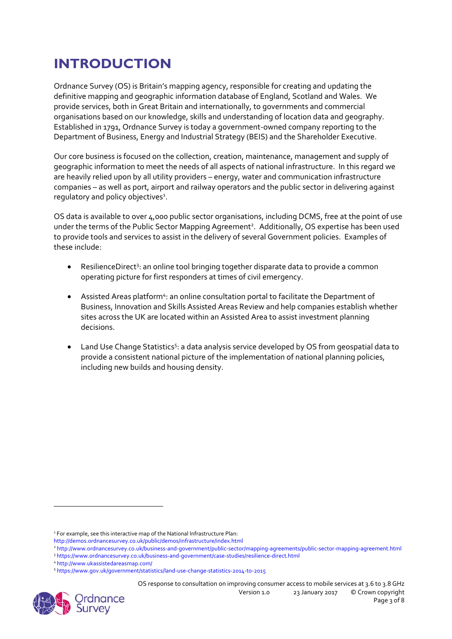## **INTRODUCTION**

Ordnance Survey (OS) is Britain's mapping agency, responsible for creating and updating the definitive mapping and geographic information database of England, Scotland and Wales. We provide services, both in Great Britain and internationally, to governments and commercial organisations based on our knowledge, skills and understanding of location data and geography. Established in 1791, Ordnance Survey is today a government‐owned company reporting to the Department of Business, Energy and Industrial Strategy (BEIS) and the Shareholder Executive.

Our core business is focused on the collection, creation, maintenance, management and supply of geographic information to meet the needs of all aspects of national infrastructure. In this regard we are heavily relied upon by all utility providers – energy, water and communication infrastructure companies – as well as port, airport and railway operators and the public sector in delivering against regulatory and policy objectives<sup>1</sup>.

OS data is available to over 4,000 public sector organisations, including DCMS, free at the point of use under the terms of the Public Sector Mapping Agreement<sup>2</sup>. Additionally, OS expertise has been used to provide tools and services to assist in the delivery of several Government policies. Examples of these include:

- ResilienceDirect<sup>3</sup>: an online tool bringing together disparate data to provide a common operating picture for first responders at times of civil emergency.
- Assisted Areas platform<sup>4</sup>: an online consultation portal to facilitate the Department of Business, Innovation and Skills Assisted Areas Review and help companies establish whether sites across the UK are located within an Assisted Area to assist investment planning decisions.
- Land Use Change Statistics<sup>5</sup>: a data analysis service developed by OS from geospatial data to provide a consistent national picture of the implementation of national planning policies, including new builds and housing density.

OS response to consultation on improving consumer access to mobile services at 3.6 to 3.8 GHz Version 1.0 23 January 2017 © Crown copyright



<sup>&</sup>lt;sup>1</sup> For example, see this interactive map of the National Infrastructure Plan:

http://demos.ordnancesurvey.co.uk/public/demos/infrastructure/index.html

<sup>2</sup> http://www.ordnancesurvey.co.uk/business‐and‐government/public‐sector/mapping‐agreements/public‐sector‐mapping‐agreement.html 3 https://www.ordnancesurvey.co.uk/business-and-qovernment/case-studies/resilience-direct.html

<sup>4</sup> http://www.ukassistedareasmap.com/

<sup>5</sup> https://www.gov.uk/government/statistics/land‐use‐change‐statistics‐2014‐to‐2015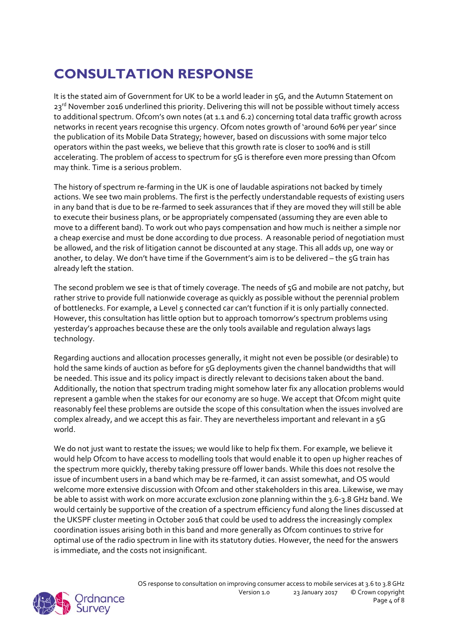# **CONSULTATION RESPONSE**

It is the stated aim of Government for UK to be a world leader in 5G, and the Autumn Statement on 23<sup>rd</sup> November 2016 underlined this priority. Delivering this will not be possible without timely access to additional spectrum. Ofcom's own notes (at 1.1 and 6.2) concerning total data traffic growth across networks in recent years recognise this urgency. Ofcom notes growth of 'around 60% per year' since the publication of its Mobile Data Strategy; however, based on discussions with some major telco operators within the past weeks, we believe that this growth rate is closer to 100% and is still accelerating. The problem of access to spectrum for 5G is therefore even more pressing than Ofcom may think. Time is a serious problem.

The history of spectrum re-farming in the UK is one of laudable aspirations not backed by timely actions. We see two main problems. The first is the perfectly understandable requests of existing users in any band that is due to be re‐farmed to seek assurances that if they are moved they will still be able to execute their business plans, or be appropriately compensated (assuming they are even able to move to a different band). To work out who pays compensation and how much is neither a simple nor a cheap exercise and must be done according to due process. A reasonable period of negotiation must be allowed, and the risk of litigation cannot be discounted at any stage. This all adds up, one way or another, to delay. We don't have time if the Government's aim is to be delivered - the 5G train has already left the station.

The second problem we see is that of timely coverage. The needs of 5G and mobile are not patchy, but rather strive to provide full nationwide coverage as quickly as possible without the perennial problem of bottlenecks. For example, a Level 5 connected car can't function if it is only partially connected. However, this consultation has little option but to approach tomorrow's spectrum problems using yesterday's approaches because these are the only tools available and regulation always lags technology.

Regarding auctions and allocation processes generally, it might not even be possible (or desirable) to hold the same kinds of auction as before for 5G deployments given the channel bandwidths that will be needed. This issue and its policy impact is directly relevant to decisions taken about the band. Additionally, the notion that spectrum trading might somehow later fix any allocation problems would represent a gamble when the stakes for our economy are so huge. We accept that Ofcom might quite reasonably feel these problems are outside the scope of this consultation when the issues involved are complex already, and we accept this as fair. They are nevertheless important and relevant in a 5G world.

We do not just want to restate the issues; we would like to help fix them. For example, we believe it would help Ofcom to have access to modelling tools that would enable it to open up higher reaches of the spectrum more quickly, thereby taking pressure off lower bands. While this does not resolve the issue of incumbent users in a band which may be re‐farmed, it can assist somewhat, and OS would welcome more extensive discussion with Ofcom and other stakeholders in this area. Likewise, we may be able to assist with work on more accurate exclusion zone planning within the 3.6-3.8 GHz band. We would certainly be supportive of the creation of a spectrum efficiency fund along the lines discussed at the UKSPF cluster meeting in October 2016 that could be used to address the increasingly complex coordination issues arising both in this band and more generally as Ofcom continues to strive for optimal use of the radio spectrum in line with its statutory duties. However, the need for the answers is immediate, and the costs not insignificant.

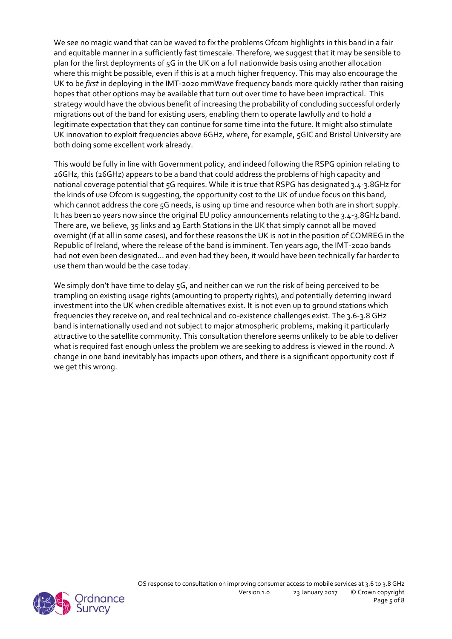We see no magic wand that can be waved to fix the problems Ofcom highlights in this band in a fair and equitable manner in a sufficiently fast timescale. Therefore, we suggest that it may be sensible to plan for the first deployments of 5G in the UK on a full nationwide basis using another allocation where this might be possible, even if this is at a much higher frequency. This may also encourage the UK to be *first* in deploying in the IMT‐2020 mmWave frequency bands more quickly rather than raising hopes that other options may be available that turn out over time to have been impractical. This strategy would have the obvious benefit of increasing the probability of concluding successful orderly migrations out of the band for existing users, enabling them to operate lawfully and to hold a legitimate expectation that they can continue for some time into the future. It might also stimulate UK innovation to exploit frequencies above 6GHz, where, for example, 5GIC and Bristol University are both doing some excellent work already.

This would be fully in line with Government policy, and indeed following the RSPG opinion relating to 26GHz, this (26GHz) appears to be a band that could address the problems of high capacity and national coverage potential that 5G requires. While it is true that RSPG has designated 3.4‐3.8GHz for the kinds of use Ofcom is suggesting, the opportunity cost to the UK of undue focus on this band, which cannot address the core 5G needs, is using up time and resource when both are in short supply. It has been 10 years now since the original EU policy announcements relating to the 3.4‐3.8GHz band. There are, we believe, 35 links and 19 Earth Stations in the UK that simply cannot all be moved overnight (if at all in some cases), and for these reasons the UK is not in the position of COMREG in the Republic of Ireland, where the release of the band is imminent. Ten years ago, the IMT‐2020 bands had not even been designated… and even had they been, it would have been technically far harder to use them than would be the case today.

We simply don't have time to delay 5G, and neither can we run the risk of being perceived to be trampling on existing usage rights (amounting to property rights), and potentially deterring inward investment into the UK when credible alternatives exist. It is not even up to ground stations which frequencies they receive on, and real technical and co‐existence challenges exist. The 3.6‐3.8 GHz band is internationally used and not subject to major atmospheric problems, making it particularly attractive to the satellite community. This consultation therefore seems unlikely to be able to deliver what is required fast enough unless the problem we are seeking to address is viewed in the round. A change in one band inevitably has impacts upon others, and there is a significant opportunity cost if we get this wrong.

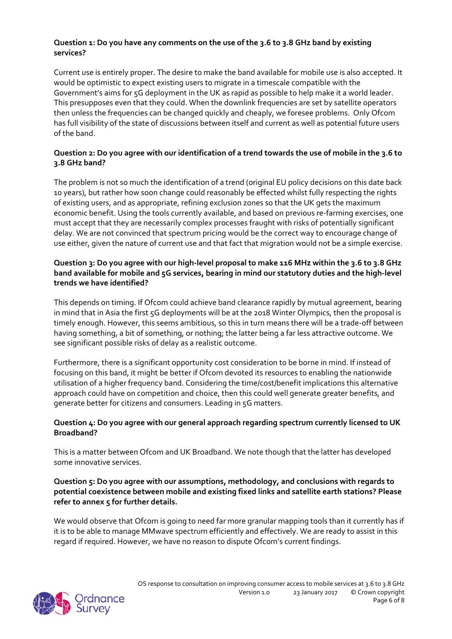#### **Question 1: Do you have any comments on the use of the 3.6 to 3.8 GHz band by existing services?**

Current use is entirely proper. The desire to make the band available for mobile use is also accepted. It would be optimistic to expect existing users to migrate in a timescale compatible with the Government's aims for 5G deployment in the UK as rapid as possible to help make it a world leader. This presupposes even that they could. When the downlink frequencies are set by satellite operators then unless the frequencies can be changed quickly and cheaply, we foresee problems. Only Ofcom has full visibility of the state of discussions between itself and current as well as potential future users of the band.

### Question 2: Do you agree with our identification of a trend towards the use of mobile in the 3.6 to **3.8 GHz band?**

The problem is not so much the identification of a trend (original EU policy decisions on this date back 10 years), but rather how soon change could reasonably be effected whilst fully respecting the rights of existing users, and as appropriate, refining exclusion zones so that the UK gets the maximum economic benefit. Using the tools currently available, and based on previous re-farming exercises, one must accept that they are necessarily complex processes fraught with risks of potentially significant delay. We are not convinced that spectrum pricing would be the correct way to encourage change of use either, given the nature of current use and that fact that migration would not be a simple exercise.

#### Question 3: Do you agree with our high-level proposal to make 116 MHz within the 3.6 to 3.8 GHz **band available for mobile and 5G services, bearing in mind our statutory duties and the high‐level trends we have identified?**

This depends on timing. If Ofcom could achieve band clearance rapidly by mutual agreement, bearing in mind that in Asia the first 5G deployments will be at the 2018 Winter Olympics, then the proposal is timely enough. However, this seems ambitious, so this in turn means there will be a trade‐off between having something, a bit of something, or nothing; the latter being a far less attractive outcome. We see significant possible risks of delay as a realistic outcome.

Furthermore, there is a significant opportunity cost consideration to be borne in mind. If instead of focusing on this band, it might be better if Ofcom devoted its resources to enabling the nationwide utilisation of a higher frequency band. Considering the time/cost/benefit implications this alternative approach could have on competition and choice, then this could well generate greater benefits, and generate better for citizens and consumers. Leading in 5G matters.

### **Question 4: Do you agree with our general approach regarding spectrum currently licensed to UK Broadband?**

This is a matter between Ofcom and UK Broadband. We note though that the latter has developed some innovative services.

#### **Question 5: Do you agree with our assumptions, methodology, and conclusions with regards to potential coexistence between mobile and existing fixed links and satellite earth stations? Please refer to annex 5 for further details.**

We would observe that Ofcom is going to need far more granular mapping tools than it currently has if it is to be able to manage MMwave spectrum efficiently and effectively. We are ready to assist in this regard if required. However, we have no reason to dispute Ofcom's current findings.

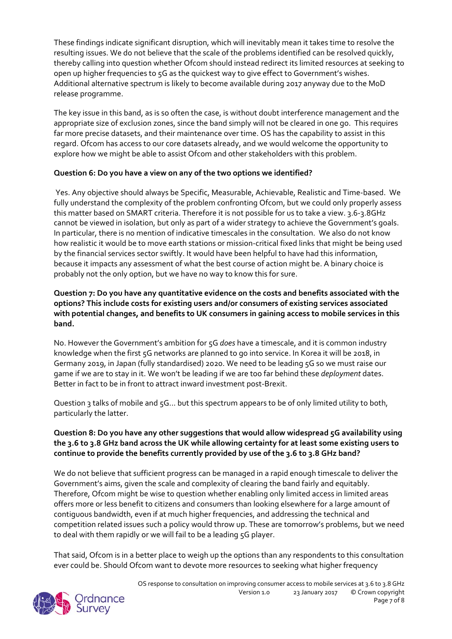These findings indicate significant disruption, which will inevitably mean it takes time to resolve the resulting issues. We do not believe that the scale of the problems identified can be resolved quickly, thereby calling into question whether Ofcom should instead redirect its limited resources at seeking to open up higher frequencies to 5G as the quickest way to give effect to Government's wishes. Additional alternative spectrum is likely to become available during 2017 anyway due to the MoD release programme.

The key issue in this band, as is so often the case, is without doubt interference management and the appropriate size of exclusion zones, since the band simply will not be cleared in one go. This requires far more precise datasets, and their maintenance over time. OS has the capability to assist in this regard. Ofcom has access to our core datasets already, and we would welcome the opportunity to explore how we might be able to assist Ofcom and other stakeholders with this problem.

### **Question 6: Do you have a view on any of the two options we identified?**

Yes. Any objective should always be Specific, Measurable, Achievable, Realistic and Time‐based. We fully understand the complexity of the problem confronting Ofcom, but we could only properly assess this matter based on SMART criteria. Therefore it is not possible for us to take a view. 3.6‐3.8GHz cannot be viewed in isolation, but only as part of a wider strategy to achieve the Government's goals. In particular, there is no mention of indicative timescales in the consultation. We also do not know how realistic it would be to move earth stations or mission‐critical fixed links that might be being used by the financial services sector swiftly. It would have been helpful to have had this information, because it impacts any assessment of what the best course of action might be. A binary choice is probably not the only option, but we have no way to know this for sure.

#### **Question 7: Do you have any quantitative evidence on the costs and benefits associated with the options? This include costs for existing users and/or consumers of existing services associated with potential changes, and benefits to UK consumers in gaining access to mobile services in this band.**

No. However the Government's ambition for 5G *does* have a timescale, and it is common industry knowledge when the first 5G networks are planned to go into service. In Korea it will be 2018, in Germany 2019, in Japan (fully standardised) 2020. We need to be leading 5G so we must raise our game if we are to stay in it. We won't be leading if we are too far behind these *deployment* dates. Better in fact to be in front to attract inward investment post‐Brexit.

Question 3 talks of mobile and 5G... but this spectrum appears to be of only limited utility to both, particularly the latter.

### **Question 8: Do you have any other suggestions that would allow widespread 5G availability using** the 3.6 to 3.8 GHz band across the UK while allowing certainty for at least some existing users to **continue to provide the benefits currently provided by use of the 3.6 to 3.8 GHz band?**

We do not believe that sufficient progress can be managed in a rapid enough timescale to deliver the Government's aims, given the scale and complexity of clearing the band fairly and equitably. Therefore, Ofcom might be wise to question whether enabling only limited access in limited areas offers more or less benefit to citizens and consumers than looking elsewhere for a large amount of contiguous bandwidth, even if at much higher frequencies, and addressing the technical and competition related issues such a policy would throw up. These are tomorrow's problems, but we need to deal with them rapidly or we will fail to be a leading 5G player.

That said, Ofcom is in a better place to weigh up the options than any respondents to this consultation ever could be. Should Ofcom want to devote more resources to seeking what higher frequency